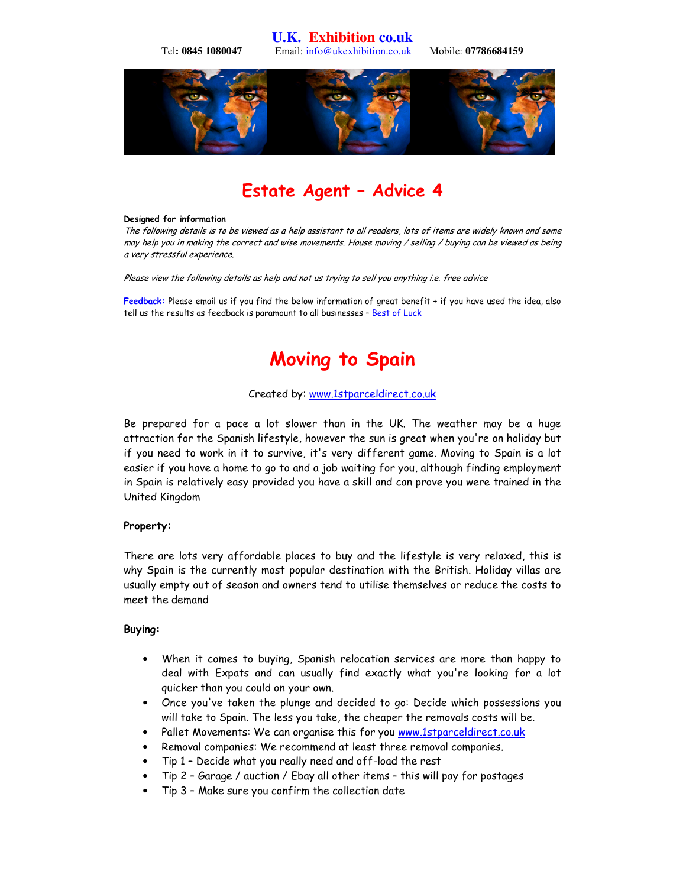**U.K. Exhibition co.uk**  Tel**: 0845 1080047** Email: info@ukexhibition.co.uk Mobile: **07786684159** 



# Estate Agent – Advice 4

#### Designed for information

The following details is to be viewed as a help assistant to all readers, lots of items are widely known and some may help you in making the correct and wise movements. House moving / selling / buying can be viewed as being a very stressful experience.

Please view the following details as help and not us trying to sell you anything i.e. free advice

Feedback: Please email us if you find the below information of great benefit + if you have used the idea, also tell us the results as feedback is paramount to all businesses – Best of Luck

# Moving to Spain

#### Created by: www.1stparceldirect.co.uk

Be prepared for a pace a lot slower than in the UK. The weather may be a huge attraction for the Spanish lifestyle, however the sun is great when you're on holiday but if you need to work in it to survive, it's very different game. Moving to Spain is a lot easier if you have a home to go to and a job waiting for you, although finding employment in Spain is relatively easy provided you have a skill and can prove you were trained in the United Kingdom

#### Property:

There are lots very affordable places to buy and the lifestyle is very relaxed, this is why Spain is the currently most popular destination with the British. Holiday villas are usually empty out of season and owners tend to utilise themselves or reduce the costs to meet the demand

#### Buying:

- When it comes to buying, Spanish relocation services are more than happy to deal with Expats and can usually find exactly what you're looking for a lot quicker than you could on your own.
- Once you've taken the plunge and decided to go: Decide which possessions you will take to Spain. The less you take, the cheaper the removals costs will be.
- Pallet Movements: We can organise this for you www.1stparceldirect.co.uk
- Removal companies: We recommend at least three removal companies.
- Tip 1 Decide what you really need and off-load the rest
- Tip 2 Garage / auction / Ebay all other items this will pay for postages
- Tip 3 Make sure you confirm the collection date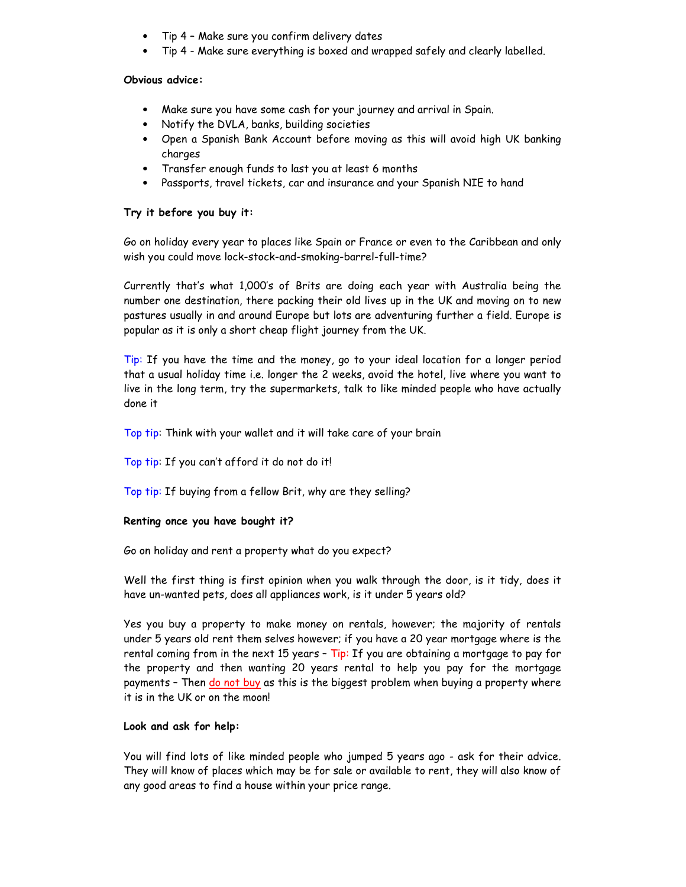- Tip 4 Make sure you confirm delivery dates
- Tip 4 Make sure everything is boxed and wrapped safely and clearly labelled.

## Obvious advice:

- Make sure you have some cash for your journey and arrival in Spain.
- Notify the DVLA, banks, building societies
- Open a Spanish Bank Account before moving as this will avoid high UK banking charges
- Transfer enough funds to last you at least 6 months
- Passports, travel tickets, car and insurance and your Spanish NIE to hand

## Try it before you buy it:

Go on holiday every year to places like Spain or France or even to the Caribbean and only wish you could move lock-stock-and-smoking-barrel-full-time?

Currently that's what 1,000's of Brits are doing each year with Australia being the number one destination, there packing their old lives up in the UK and moving on to new pastures usually in and around Europe but lots are adventuring further a field. Europe is popular as it is only a short cheap flight journey from the UK.

Tip: If you have the time and the money, go to your ideal location for a longer period that a usual holiday time i.e. longer the 2 weeks, avoid the hotel, live where you want to live in the long term, try the supermarkets, talk to like minded people who have actually done it

Top tip: Think with your wallet and it will take care of your brain

Top tip: If you can't afford it do not do it!

Top tip: If buying from a fellow Brit, why are they selling?

### Renting once you have bought it?

Go on holiday and rent a property what do you expect?

Well the first thing is first opinion when you walk through the door, is it tidy, does it have un-wanted pets, does all appliances work, is it under 5 years old?

Yes you buy a property to make money on rentals, however; the majority of rentals under 5 years old rent them selves however; if you have a 20 year mortgage where is the rental coming from in the next 15 years  $-$  Tip: If you are obtaining a mortgage to pay for the property and then wanting 20 years rental to help you pay for the mortgage payments - Then do not buy as this is the biggest problem when buying a property where it is in the UK or on the moon!

### Look and ask for help:

You will find lots of like minded people who jumped 5 years ago - ask for their advice. They will know of places which may be for sale or available to rent, they will also know of any good areas to find a house within your price range.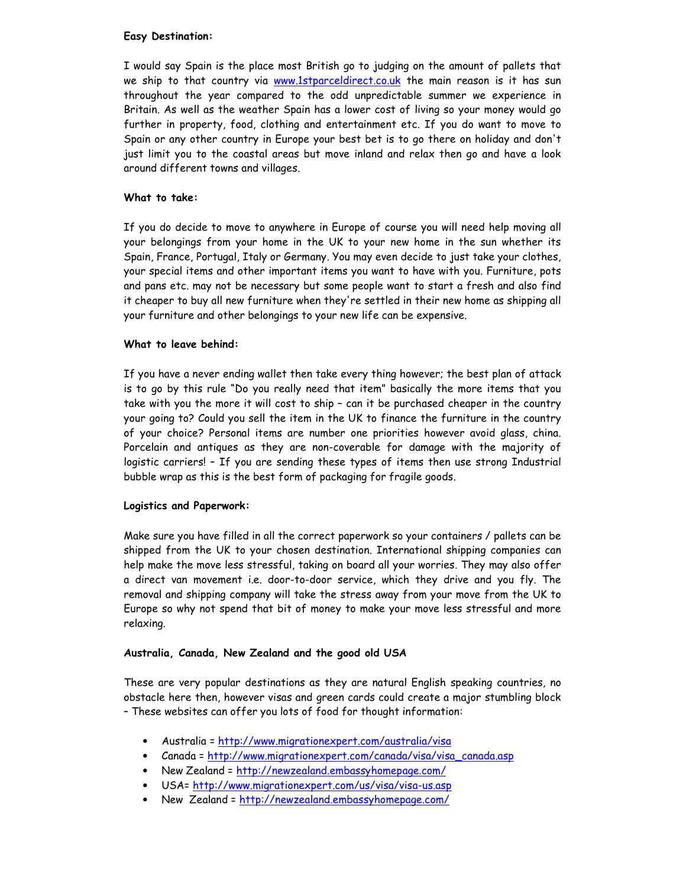## Easy Destination:

I would say Spain is the place most British go to judging on the amount of pallets that we ship to that country via www.1stparceldirect.co.uk the main reason is it has sun throughout the year compared to the odd unpredictable summer we experience in Britain. As well as the weather Spain has a lower cost of living so your money would go further in property, food, clothing and entertainment etc. If you do want to move to Spain or any other country in Europe your best bet is to go there on holiday and don't just limit you to the coastal areas but move inland and relax then go and have a look around different towns and villages.

## What to take:

If you do decide to move to anywhere in Europe of course you will need help moving all your belongings from your home in the UK to your new home in the sun whether its Spain, France, Portugal, Italy or Germany. You may even decide to just take your clothes, your special items and other important items you want to have with you. Furniture, pots and pans etc. may not be necessary but some people want to start a fresh and also find it cheaper to buy all new furniture when they're settled in their new home as shipping all your furniture and other belongings to your new life can be expensive.

# What to leave behind:

If you have a never ending wallet then take every thing however; the best plan of attack is to go by this rule "Do you really need that item" basically the more items that you take with you the more it will cost to ship – can it be purchased cheaper in the country your going to? Could you sell the item in the UK to finance the furniture in the country of your choice? Personal items are number one priorities however avoid glass, china. Porcelain and antiques as they are non-coverable for damage with the majority of logistic carriers! – If you are sending these types of items then use strong Industrial bubble wrap as this is the best form of packaging for fragile goods.

## Logistics and Paperwork:

Make sure you have filled in all the correct paperwork so your containers / pallets can be shipped from the UK to your chosen destination. International shipping companies can help make the move less stressful, taking on board all your worries. They may also offer a direct van movement i.e. door-to-door service, which they drive and you fly. The removal and shipping company will take the stress away from your move from the UK to Europe so why not spend that bit of money to make your move less stressful and more relaxing.

## Australia, Canada, New Zealand and the good old USA

These are very popular destinations as they are natural English speaking countries, no obstacle here then, however visas and green cards could create a major stumbling block – These websites can offer you lots of food for thought information:

- Australia = http://www.migrationexpert.com/australia/visa
- Canada = http://www.migrationexpert.com/canada/visa/visa\_canada.asp
- New Zealand = http://newzealand.embassyhomepage.com/
- USA= http://www.migrationexpert.com/us/visa/visa-us.asp
- New Zealand = http://newzealand.embassyhomepage.com/